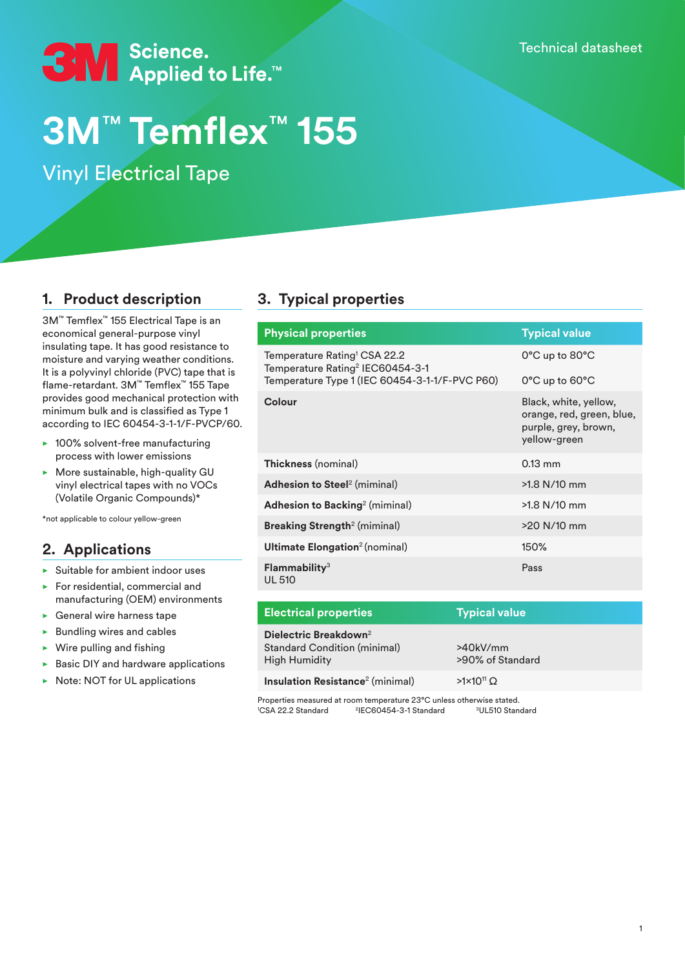Technical datasheet



# **3M**™ **Temflex**™ **155**

Vinyl Electrical Tape

## **1. Product description**

3M™ Temflex™ 155 Electrical Tape is an economical general-purpose vinyl insulating tape. It has good resistance to moisture and varying weather conditions. It is a polyvinyl chloride (PVC) tape that is flame-retardant. 3M™ Temflex™ 155 Tape provides good mechanical protection with minimum bulk and is classified as Type 1 according to IEC 60454-3-1-1/F-PVCP/60.

- $\blacktriangleright$  100% solvent-free manufacturing process with lower emissions
- $\triangleright$  More sustainable, high-quality GU vinyl electrical tapes with no VOCs (Volatile Organic Compounds)\*

\*not applicable to colour yellow-green

## **2. Applications**

- Suitable for ambient indoor uses
- For residential, commercial and manufacturing (OEM) environments
- **General wire harness tape**
- **Bundling wires and cables**
- Wire pulling and fishing
- **Basic DIY and hardware applications**
- Note: NOT for UL applications

# **3. Typical properties**

| <b>Physical properties</b>                                                               | <b>Typical value</b>                                                                       |
|------------------------------------------------------------------------------------------|--------------------------------------------------------------------------------------------|
| Temperature Rating <sup>1</sup> CSA 22.2<br>Temperature Rating <sup>2</sup> IEC60454-3-1 | 0°C up to 80°C                                                                             |
| Temperature Type 1 (IEC 60454-3-1-1/F-PVC P60)                                           | 0°C up to 60°C                                                                             |
| Colour                                                                                   | Black, white, yellow,<br>orange, red, green, blue,<br>purple, grey, brown,<br>yellow-green |
| Thickness (nominal)                                                                      | $0.13$ mm                                                                                  |
| <b>Adhesion to Steel</b> <sup>2</sup> (miminal)                                          | $>1.8$ N/10 mm                                                                             |
| <b>Adhesion to Backing</b> <sup>2</sup> (miminal)                                        | >1.8 N/10 mm                                                                               |
| <b>Breaking Strength<sup>2</sup> (miminal)</b>                                           | $>20$ N/10 mm                                                                              |
| Ultimate Elongation <sup>2</sup> (nominal)                                               | 150%                                                                                       |
| Flammablity <sup>3</sup><br><b>UL 510</b>                                                | Pass                                                                                       |

| <b>Electrical properties</b>                                                                     | <b>Typical value</b>         |
|--------------------------------------------------------------------------------------------------|------------------------------|
| Dielectric Breakdown <sup>2</sup><br><b>Standard Condition (minimal)</b><br><b>High Humidity</b> | >40kV/mm<br>>90% of Standard |
| Insulation Resistance <sup>2</sup> (minimal)                                                     | $>1\times10^{11}$ O          |

Properties measured at room temperature 23°C unless otherwise stated. <sup>1</sup>CSA 22.2 Standard <sup>2</sup>IEC60454-3-1 Standard <sup>3</sup>UL510 Standard